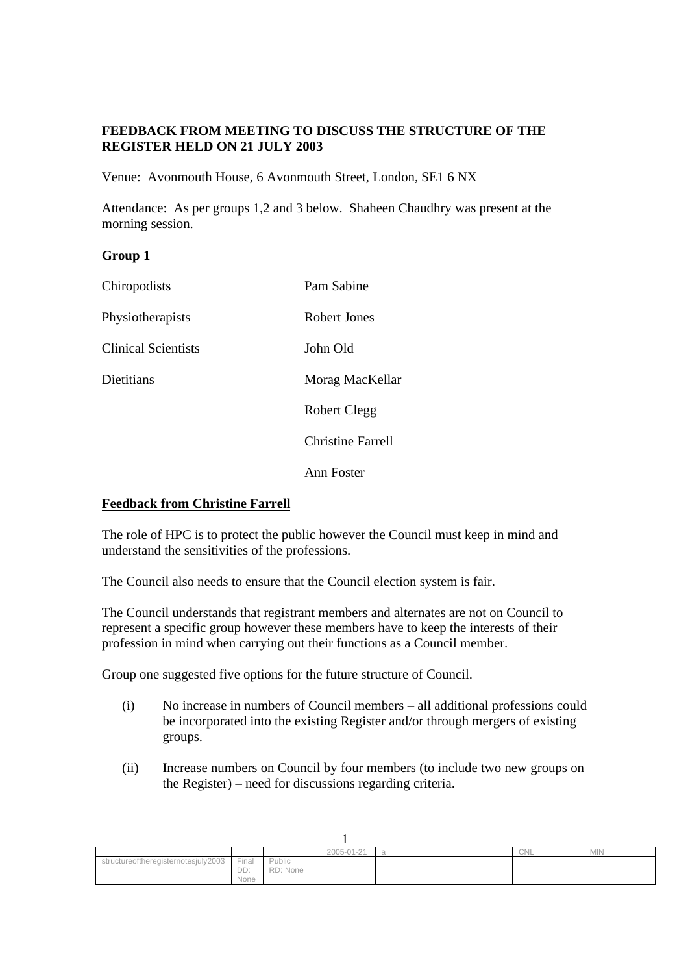# **FEEDBACK FROM MEETING TO DISCUSS THE STRUCTURE OF THE REGISTER HELD ON 21 JULY 2003**

Venue: Avonmouth House, 6 Avonmouth Street, London, SE1 6 NX

Attendance: As per groups 1,2 and 3 below. Shaheen Chaudhry was present at the morning session.

## **Group 1**

| Chiropodists               | Pam Sabine               |
|----------------------------|--------------------------|
| Physiotherapists           | Robert Jones             |
| <b>Clinical Scientists</b> | John Old                 |
| Dietitians                 | Morag MacKellar          |
|                            | <b>Robert Clegg</b>      |
|                            | <b>Christine Farrell</b> |
|                            | Ann Foster               |

## **Feedback from Christine Farrell**

The role of HPC is to protect the public however the Council must keep in mind and understand the sensitivities of the professions.

The Council also needs to ensure that the Council election system is fair.

The Council understands that registrant members and alternates are not on Council to represent a specific group however these members have to keep the interests of their profession in mind when carrying out their functions as a Council member.

Group one suggested five options for the future structure of Council.

- (i) No increase in numbers of Council members all additional professions could be incorporated into the existing Register and/or through mergers of existing groups.
- (ii) Increase numbers on Council by four members (to include two new groups on the Register) – need for discussions regarding criteria.

|                                     |                      |                    | 2005-01-21 | CNL | <b>MIN</b> |
|-------------------------------------|----------------------|--------------------|------------|-----|------------|
| structureoftheregisternotesjuly2003 | Finai<br>DD:<br>None | Public<br>RD: None |            |     |            |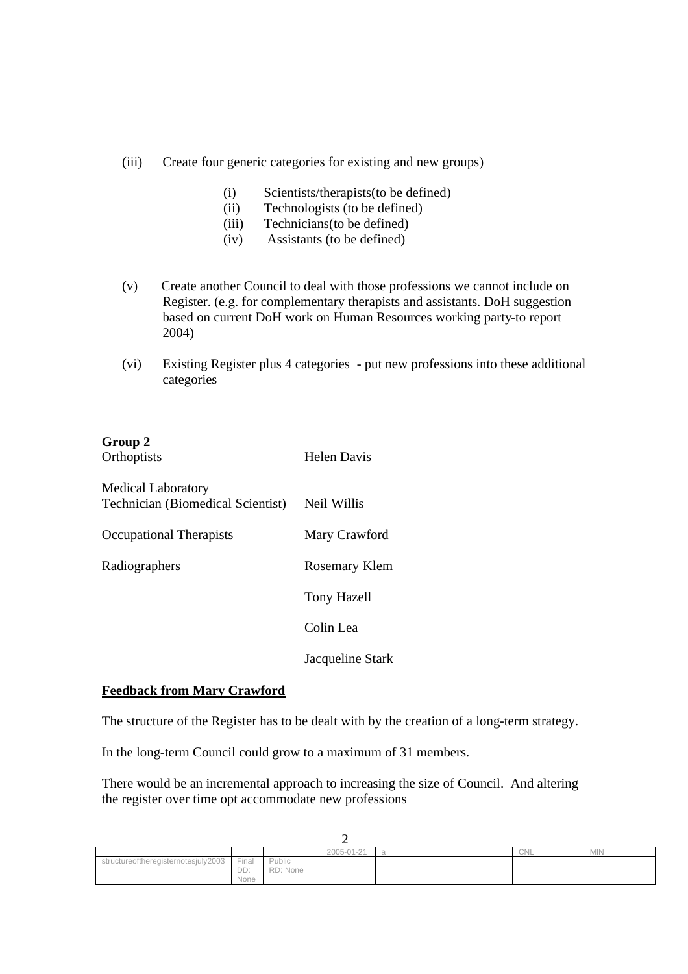- (iii) Create four generic categories for existing and new groups)
	- (i) Scientists/therapists(to be defined)
	- (ii) Technologists (to be defined)
	- (iii) Technicians(to be defined)
	- (iv) Assistants (to be defined)
- (v) Create another Council to deal with those professions we cannot include on Register. (e.g. for complementary therapists and assistants. DoH suggestion based on current DoH work on Human Resources working party-to report 2004)
- (vi) Existing Register plus 4 categories put new professions into these additional categories

| Group 2<br>Orthoptists                                                | <b>Helen Davis</b> |
|-----------------------------------------------------------------------|--------------------|
| <b>Medical Laboratory</b><br><b>Technician (Biomedical Scientist)</b> | Neil Willis        |
| <b>Occupational Therapists</b>                                        | Mary Crawford      |
| Radiographers                                                         | Rosemary Klem      |
|                                                                       | <b>Tony Hazell</b> |
|                                                                       | Colin Lea          |
|                                                                       | Jacqueline Stark   |

## **Feedback from Mary Crawford**

The structure of the Register has to be dealt with by the creation of a long-term strategy.

In the long-term Council could grow to a maximum of 31 members.

There would be an incremental approach to increasing the size of Council. And altering the register over time opt accommodate new professions

|                                  |                      |                    | 2005-01-21 | CNL | <b>MIN</b> |
|----------------------------------|----------------------|--------------------|------------|-----|------------|
| intureoftheregisternotesjuly2003 | Final<br>DD:<br>None | Public<br>RD: None |            |     |            |

 $\Delta$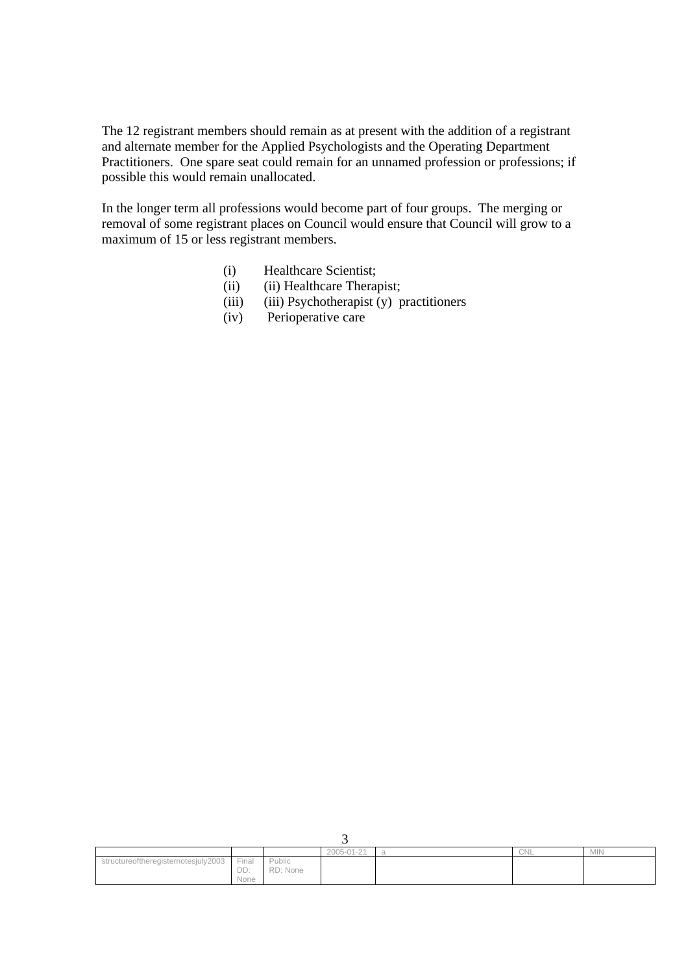The 12 registrant members should remain as at present with the addition of a registrant and alternate member for the Applied Psychologists and the Operating Department Practitioners. One spare seat could remain for an unnamed profession or professions; if possible this would remain unallocated.

In the longer term all professions would become part of four groups. The merging or removal of some registrant places on Council would ensure that Council will grow to a maximum of 15 or less registrant members.

- (i) Healthcare Scientist;
- (ii) (ii) Healthcare Therapist;
- (iii) (iii) Psychotherapist (y) practitioners
- (iv) Perioperative care

|                                     |                      |                    | --         |     |            |
|-------------------------------------|----------------------|--------------------|------------|-----|------------|
|                                     |                      |                    | 2005-01-21 | CNL | <b>MIN</b> |
| structureoftheregisternotesjuly2003 | Final<br>DD:<br>None | Public<br>RD: None |            |     |            |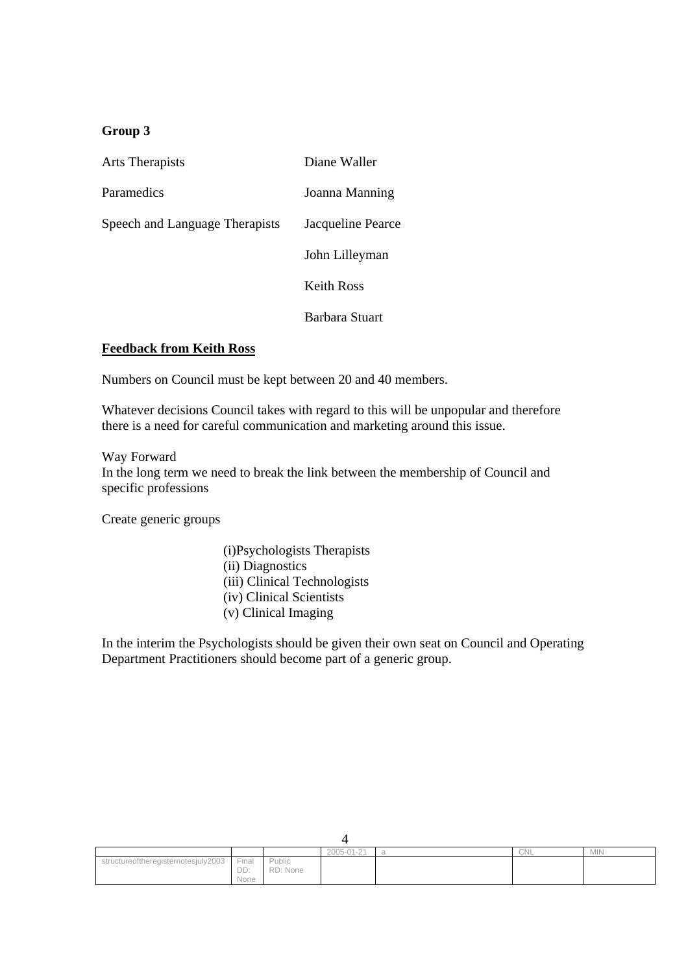# **Group 3**

| Arts Therapists                | Diane Waller      |
|--------------------------------|-------------------|
| Paramedics                     | Joanna Manning    |
| Speech and Language Therapists | Jacqueline Pearce |
|                                | John Lilleyman    |
|                                | Keith Ross        |
|                                | Barbara Stuart    |

## **Feedback from Keith Ross**

Numbers on Council must be kept between 20 and 40 members.

Whatever decisions Council takes with regard to this will be unpopular and therefore there is a need for careful communication and marketing around this issue.

#### Way Forward

In the long term we need to break the link between the membership of Council and specific professions

Create generic groups

(i)Psychologists Therapists (ii) Diagnostics (iii) Clinical Technologists (iv) Clinical Scientists (v) Clinical Imaging

In the interim the Psychologists should be given their own seat on Council and Operating Department Practitioners should become part of a generic group.

|                               |                                      |                    | 2005-01-21 | CNL | <b>MIN</b> |
|-------------------------------|--------------------------------------|--------------------|------------|-----|------------|
| ureoftheregisternotesjuly2003 | Final<br>$\sim$ $\sim$<br>レレ<br>None | Public<br>RD: None |            |     |            |